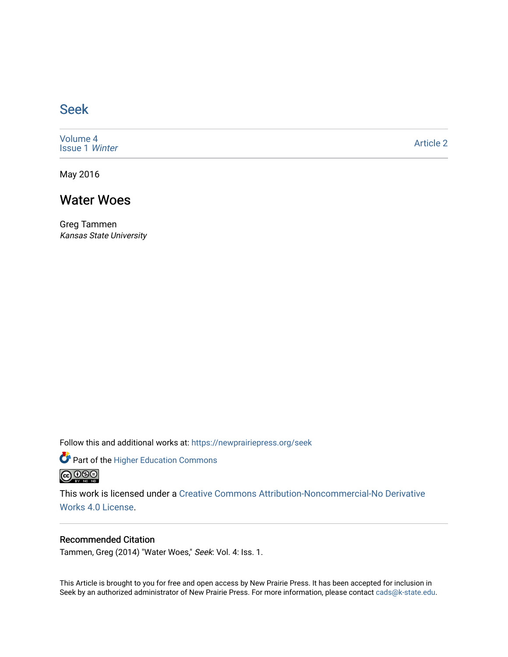## [Seek](https://newprairiepress.org/seek)

[Volume 4](https://newprairiepress.org/seek/vol4) [Issue 1](https://newprairiepress.org/seek/vol4/iss1) Winter

[Article 2](https://newprairiepress.org/seek/vol4/iss1/2) 

May 2016

## Water Woes

Greg Tammen Kansas State University

Follow this and additional works at: [https://newprairiepress.org/seek](https://newprairiepress.org/seek?utm_source=newprairiepress.org%2Fseek%2Fvol4%2Fiss1%2F2&utm_medium=PDF&utm_campaign=PDFCoverPages)

Part of the [Higher Education Commons](http://network.bepress.com/hgg/discipline/1245?utm_source=newprairiepress.org%2Fseek%2Fvol4%2Fiss1%2F2&utm_medium=PDF&utm_campaign=PDFCoverPages) 



This work is licensed under a [Creative Commons Attribution-Noncommercial-No Derivative](https://creativecommons.org/licenses/by-nc-nd/4.0/)  [Works 4.0 License](https://creativecommons.org/licenses/by-nc-nd/4.0/).

## Recommended Citation

Tammen, Greg (2014) "Water Woes," Seek: Vol. 4: Iss. 1.

This Article is brought to you for free and open access by New Prairie Press. It has been accepted for inclusion in Seek by an authorized administrator of New Prairie Press. For more information, please contact [cads@k-state.edu](mailto:cads@k-state.edu).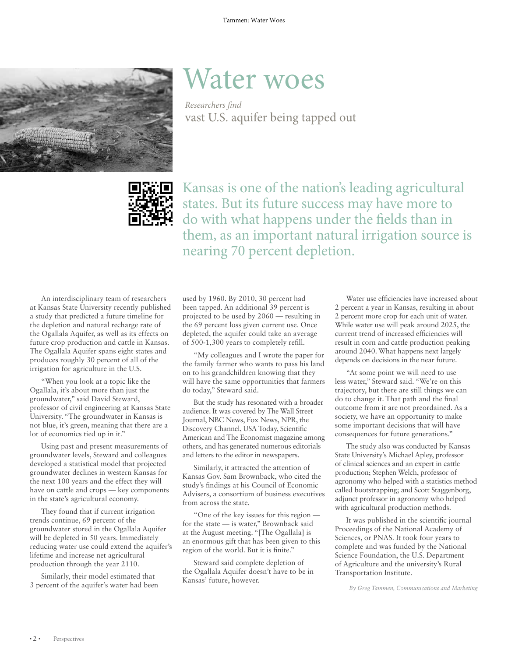

## Water woes

*Researchers find* vast U.S. aquifer being tapped out



Kansas is one of the nation's leading agricultural states. But its future success may have more to do with what happens under the fields than in them, as an important natural irrigation source is nearing 70 percent depletion.

An interdisciplinary team of researchers at Kansas State University recently published a study that predicted a future timeline for the depletion and natural recharge rate of the Ogallala Aquifer, as well as its effects on future crop production and cattle in Kansas. The Ogallala Aquifer spans eight states and produces roughly 30 percent of all of the irrigation for agriculture in the U.S.

"When you look at a topic like the Ogallala, it's about more than just the groundwater," said David Steward, professor of civil engineering at Kansas State University. "The groundwater in Kansas is not blue, it's green, meaning that there are a lot of economics tied up in it."

Using past and present measurements of groundwater levels, Steward and colleagues developed a statistical model that projected groundwater declines in western Kansas for the next 100 years and the effect they will have on cattle and crops — key components in the state's agricultural economy.

They found that if current irrigation trends continue, 69 percent of the groundwater stored in the Ogallala Aquifer will be depleted in 50 years. Immediately reducing water use could extend the aquifer's lifetime and increase net agricultural production through the year 2110.

Similarly, their model estimated that 3 percent of the aquifer's water had been used by 1960. By 2010, 30 percent had been tapped. An additional 39 percent is projected to be used by 2060 — resulting in the 69 percent loss given current use. Once depleted, the aquifer could take an average of 500-1,300 years to completely refill.

"My colleagues and I wrote the paper for the family farmer who wants to pass his land on to his grandchildren knowing that they will have the same opportunities that farmers do today," Steward said.

But the study has resonated with a broader audience. It was covered by The Wall Street Journal, NBC News, Fox News, NPR, the Discovery Channel, USA Today, Scientific American and The Economist magazine among others, and has generated numerous editorials and letters to the editor in newspapers.

Similarly, it attracted the attention of Kansas Gov. Sam Brownback, who cited the study's findings at his Council of Economic Advisers, a consortium of business executives from across the state.

"One of the key issues for this region for the state — is water," Brownback said at the August meeting. "[The Ogallala] is an enormous gift that has been given to this region of the world. But it is finite."

Steward said complete depletion of the Ogallala Aquifer doesn't have to be in Kansas' future, however.

Water use efficiencies have increased about 2 percent a year in Kansas, resulting in about 2 percent more crop for each unit of water. While water use will peak around 2025, the current trend of increased efficiencies will result in corn and cattle production peaking around 2040. What happens next largely depends on decisions in the near future.

"At some point we will need to use less water," Steward said. "We're on this trajectory, but there are still things we can do to change it. That path and the final outcome from it are not preordained. As a society, we have an opportunity to make some important decisions that will have consequences for future generations."

The study also was conducted by Kansas State University's Michael Apley, professor of clinical sciences and an expert in cattle production; Stephen Welch, professor of agronomy who helped with a statistics method called bootstrapping; and Scott Staggenborg, adjunct professor in agronomy who helped with agricultural production methods.

It was published in the scientific journal Proceedings of the National Academy of Sciences, or PNAS. It took four years to complete and was funded by the National Science Foundation, the U.S. Department of Agriculture and the university's Rural Transportation Institute.

*By Greg Tammen, Communications and Marketing*